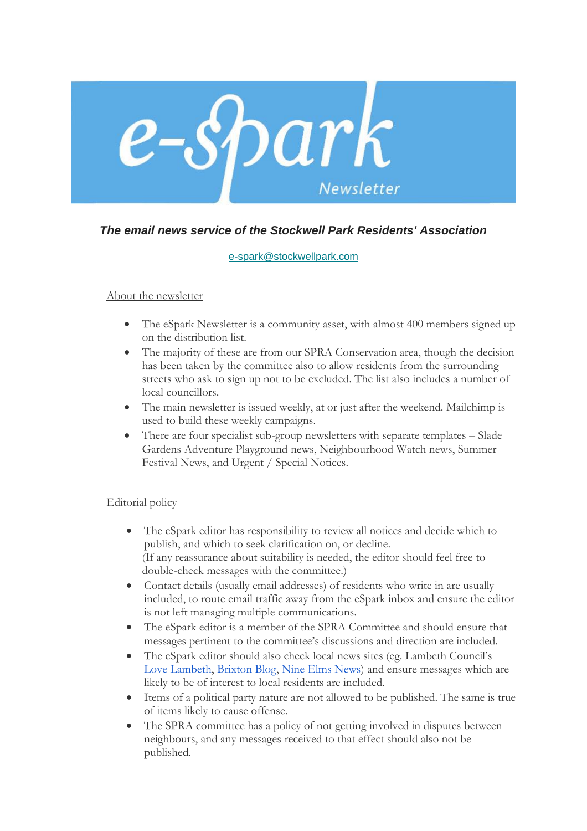

## *The email news service of the Stockwell Park Residents' Association*

## [e-spark@stockwellpark.com](mailto:e-spark@stockwellpark.com)

## About the newsletter

- The eSpark Newsletter is a community asset, with almost 400 members signed up on the distribution list.
- The majority of these are from our SPRA Conservation area, though the decision has been taken by the committee also to allow residents from the surrounding streets who ask to sign up not to be excluded. The list also includes a number of local councillors.
- The main newsletter is issued weekly, at or just after the weekend. Mailchimp is used to build these weekly campaigns.
- There are four specialist sub-group newsletters with separate templates Slade Gardens Adventure Playground news, Neighbourhood Watch news, Summer Festival News, and Urgent / Special Notices.

## Editorial policy

- The eSpark editor has responsibility to review all notices and decide which to publish, and which to seek clarification on, or decline. (If any reassurance about suitability is needed, the editor should feel free to double-check messages with the committee.)
- Contact details (usually email addresses) of residents who write in are usually included, to route email traffic away from the eSpark inbox and ensure the editor is not left managing multiple communications.
- The eSpark editor is a member of the SPRA Committee and should ensure that messages pertinent to the committee's discussions and direction are included.
- The eSpark editor should also check local news sites (eg. Lambeth Council's [Love Lambeth,](https://love.lambeth.gov.uk/) [Brixton Blog,](https://brixtonblog.com/) [Nine Elms News\)](https://nineelmslondon.com/news/) and ensure messages which are likely to be of interest to local residents are included.
- Items of a political party nature are not allowed to be published. The same is true of items likely to cause offense.
- The SPRA committee has a policy of not getting involved in disputes between neighbours, and any messages received to that effect should also not be published.